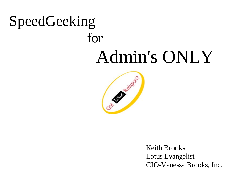# SpeedGeeking for Admin's ONLY



Keith Brooks Lotus Evangelist CIO-Vanessa Brooks, Inc.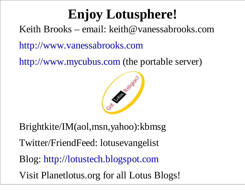## **Enjoy Lotusphere!**

Keith Brooks – email: keith@vanessabrooks.com

http://www.vanessabrooks.com

http://www.mycubus.com (the portable server)



Brightkite/IM(aol,msn,yahoo):kbmsg

Twitter/FriendFeed: lotusevangelist

Blog: http://lotustech.blogspot.com

Visit Planetlotus.org for all Lotus Blogs!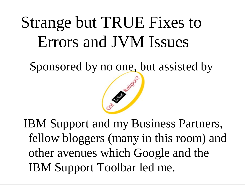## Strange but TRUE Fixes to Errors and JVM Issues

Sponsored by no one, but assisted by



 IBM Support and my Business Partners, fellow bloggers (many in this room) and other avenues which Google and the IBM Support Toolbar led me.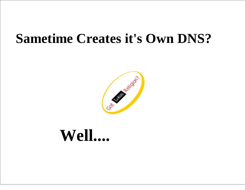#### **Sametime Creates it's Own DNS?**



## **Well....**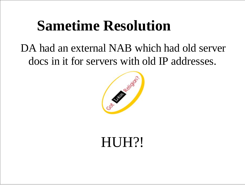## **Sametime Resolution**

#### DA had an external NAB which had old server docs in it for servers with old IP addresses.



## HUH?!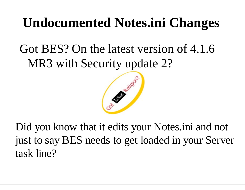## **Undocumented Notes.ini Changes**

#### Got BES? On the latest version of 4.1.6 MR3 with Security update 2?



Did you know that it edits your Notes.ini and not just to say BES needs to get loaded in your Server task line?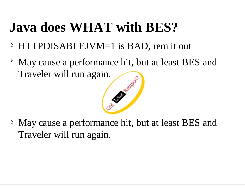## **Java does WHAT with BES?**

- $\ddot{\textbf{Y}}$ HTTPDISABLEJVM=1 is BAD, rem it out
- Ÿ May cause a performance hit, but at least BES and Traveler will run again.

Ÿ May cause a performance hit, but at least BES and Traveler will run again.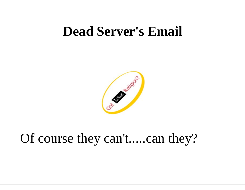#### **Dead Server's Email**



#### Of course they can't.....can they?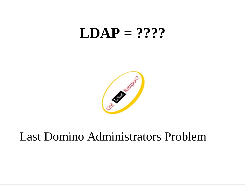### **LDAP = ????**



#### Last Domino Administrators Problem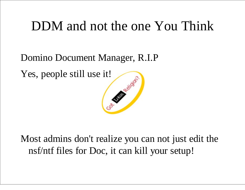#### DDM and not the one You Think

Domino Document Manager, R.I.P

Yes, people still use it!



Most admins don't realize you can not just edit the nsf/ntf files for Doc, it can kill your setup!